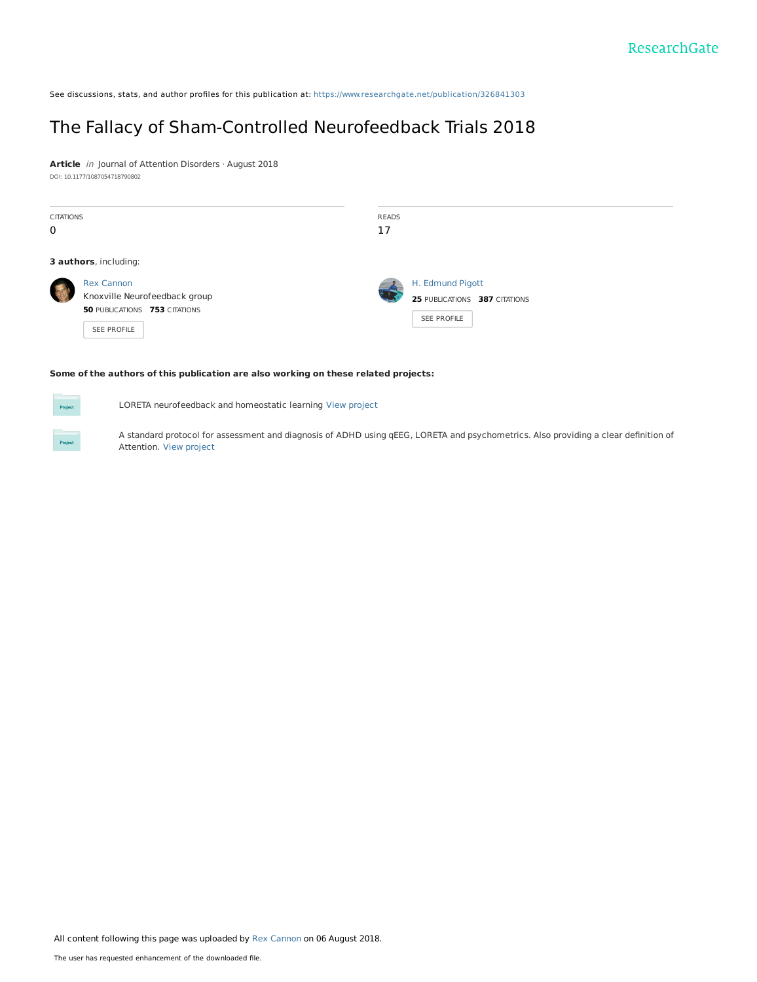See discussions, stats, and author profiles for this publication at: [https://www.researchgate.net/publication/326841303](https://www.researchgate.net/publication/326841303_The_Fallacy_of_Sham-Controlled_Neurofeedback_Trials_2018?enrichId=rgreq-51d54f8db6a257b03a092e12c3a34310-XXX&enrichSource=Y292ZXJQYWdlOzMyNjg0MTMwMztBUzo2NTY2NjU1NjUyMjkwNjlAMTUzMzU3MjY3OTY3NA%3D%3D&el=1_x_2&_esc=publicationCoverPdf)

## The Fallacy of [Sham-Controlled](https://www.researchgate.net/publication/326841303_The_Fallacy_of_Sham-Controlled_Neurofeedback_Trials_2018?enrichId=rgreq-51d54f8db6a257b03a092e12c3a34310-XXX&enrichSource=Y292ZXJQYWdlOzMyNjg0MTMwMztBUzo2NTY2NjU1NjUyMjkwNjlAMTUzMzU3MjY3OTY3NA%3D%3D&el=1_x_3&_esc=publicationCoverPdf) Neurofeedback Trials 2018

**Article** in Journal of Attention Disorders · August 2018 DOI: 10.1177/1087054718790802

| <b>CITATIONS</b><br>$\mathbf 0$ |                                                                                                           | <b>READS</b><br>17 |                                                                         |
|---------------------------------|-----------------------------------------------------------------------------------------------------------|--------------------|-------------------------------------------------------------------------|
|                                 | 3 authors, including:                                                                                     |                    |                                                                         |
|                                 | <b>Rex Cannon</b><br>Knoxville Neurofeedback group<br>50 PUBLICATIONS 753 CITATIONS<br><b>SEE PROFILE</b> |                    | H. Edmund Pigott<br>25 PUBLICATIONS 387 CITATIONS<br><b>SEE PROFILE</b> |

## **Some of the authors of this publication are also working on these related projects:**

**Project** 

LORETA neurofeedback and homeostatic learning View [project](https://www.researchgate.net/project/LORETA-neurofeedback-and-homeostatic-learning?enrichId=rgreq-51d54f8db6a257b03a092e12c3a34310-XXX&enrichSource=Y292ZXJQYWdlOzMyNjg0MTMwMztBUzo2NTY2NjU1NjUyMjkwNjlAMTUzMzU3MjY3OTY3NA%3D%3D&el=1_x_9&_esc=publicationCoverPdf)

A standard protocol for assessment and diagnosis of ADHD using qEEG, LORETA and psychometrics. Also providing a clear definition of Attention. View [project](https://www.researchgate.net/project/A-standard-protocol-for-assessment-and-diagnosis-of-ADHD-using-qEEG-LORETA-and-psychometrics-Also-providing-a-clear-definition-of-Attention?enrichId=rgreq-51d54f8db6a257b03a092e12c3a34310-XXX&enrichSource=Y292ZXJQYWdlOzMyNjg0MTMwMztBUzo2NTY2NjU1NjUyMjkwNjlAMTUzMzU3MjY3OTY3NA%3D%3D&el=1_x_9&_esc=publicationCoverPdf)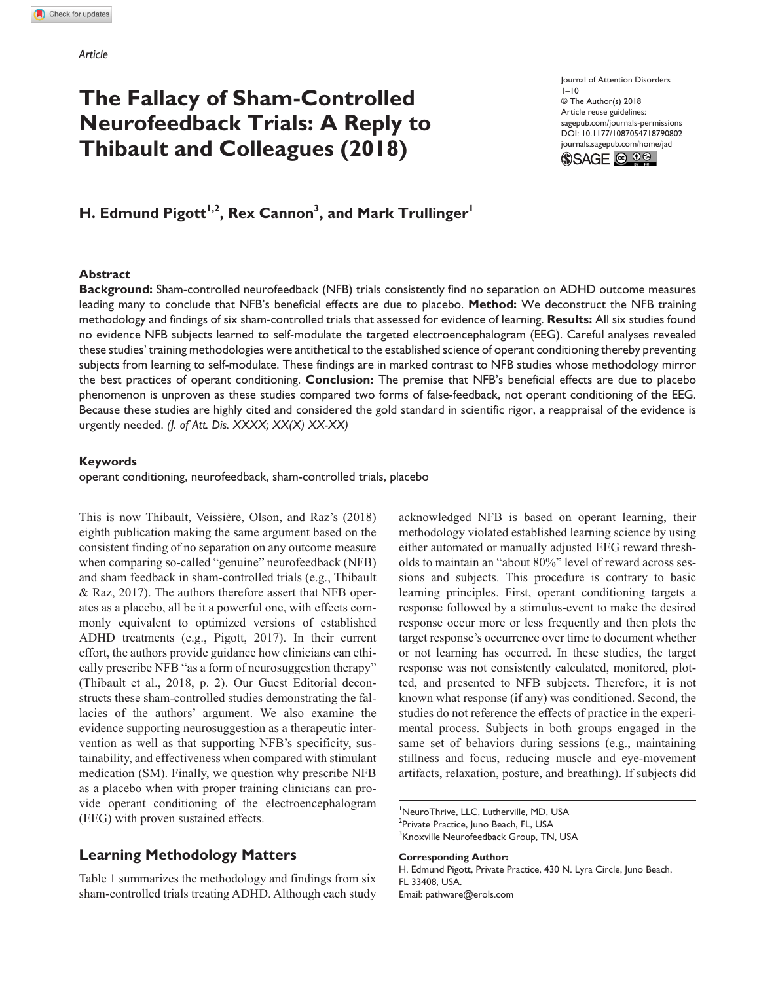# **The Fallacy of Sham-Controlled Neurofeedback Trials: A Reply to Thibault and Colleagues (2018)**

DOI: 10.1177/1087054718790802 Journal of Attention Disorders  $1 - 10$ © The Author(s) 2018 Article reuse guidelines: [sagepub.com/journals-permissions](https://us.sagepub.com/en-us/journals-permissions) [journals.sagepub.com/home/jad](https://journals.sagepub.com/home/jad)



 $H$ . Edmund Pigott<sup>1,2</sup>, Rex Cannon<sup>3</sup>, and Mark Trullinger<sup>1</sup>

#### **Abstract**

**Background:** Sham-controlled neurofeedback (NFB) trials consistently find no separation on ADHD outcome measures leading many to conclude that NFB's beneficial effects are due to placebo. **Method:** We deconstruct the NFB training methodology and findings of six sham-controlled trials that assessed for evidence of learning. **Results:** All six studies found no evidence NFB subjects learned to self-modulate the targeted electroencephalogram (EEG). Careful analyses revealed these studies' training methodologies were antithetical to the established science of operant conditioning thereby preventing subjects from learning to self-modulate. These findings are in marked contrast to NFB studies whose methodology mirror the best practices of operant conditioning. **Conclusion:** The premise that NFB's beneficial effects are due to placebo phenomenon is unproven as these studies compared two forms of false-feedback, not operant conditioning of the EEG. Because these studies are highly cited and considered the gold standard in scientific rigor, a reappraisal of the evidence is urgently needed. *(J. of Att. Dis. XXXX; XX(X) XX-XX)*

## **Keywords**

operant conditioning, neurofeedback, sham-controlled trials, placebo

This is now Thibault, Veissière, Olson, and Raz's (2018) eighth publication making the same argument based on the consistent finding of no separation on any outcome measure when comparing so-called "genuine" neurofeedback (NFB) and sham feedback in sham-controlled trials (e.g., Thibault & Raz, 2017). The authors therefore assert that NFB operates as a placebo, all be it a powerful one, with effects commonly equivalent to optimized versions of established ADHD treatments (e.g., Pigott, 2017). In their current effort, the authors provide guidance how clinicians can ethically prescribe NFB "as a form of neurosuggestion therapy" (Thibault et al., 2018, p. 2). Our Guest Editorial deconstructs these sham-controlled studies demonstrating the fallacies of the authors' argument. We also examine the evidence supporting neurosuggestion as a therapeutic intervention as well as that supporting NFB's specificity, sustainability, and effectiveness when compared with stimulant medication (SM). Finally, we question why prescribe NFB as a placebo when with proper training clinicians can provide operant conditioning of the electroencephalogram (EEG) with proven sustained effects.

## **Learning Methodology Matters**

Table 1 summarizes the methodology and findings from six sham-controlled trials treating ADHD. Although each study acknowledged NFB is based on operant learning, their methodology violated established learning science by using either automated or manually adjusted EEG reward thresholds to maintain an "about 80%" level of reward across sessions and subjects. This procedure is contrary to basic learning principles. First, operant conditioning targets a response followed by a stimulus-event to make the desired response occur more or less frequently and then plots the target response's occurrence over time to document whether or not learning has occurred. In these studies, the target response was not consistently calculated, monitored, plotted, and presented to NFB subjects. Therefore, it is not known what response (if any) was conditioned. Second, the studies do not reference the effects of practice in the experimental process. Subjects in both groups engaged in the same set of behaviors during sessions (e.g., maintaining stillness and focus, reducing muscle and eye-movement artifacts, relaxation, posture, and breathing). If subjects did

1 NeuroThrive, LLC, Lutherville, MD, USA <sup>2</sup>Private Practice, Juno Beach, FL, USA <sup>3</sup>Knoxville Neurofeedback Group, TN, USA

**Corresponding Author:**

H. Edmund Pigott, Private Practice, 430 N. Lyra Circle, Juno Beach, FL 33408, USA. Email: [pathware@erols.com](mailto:pathware@erols.com)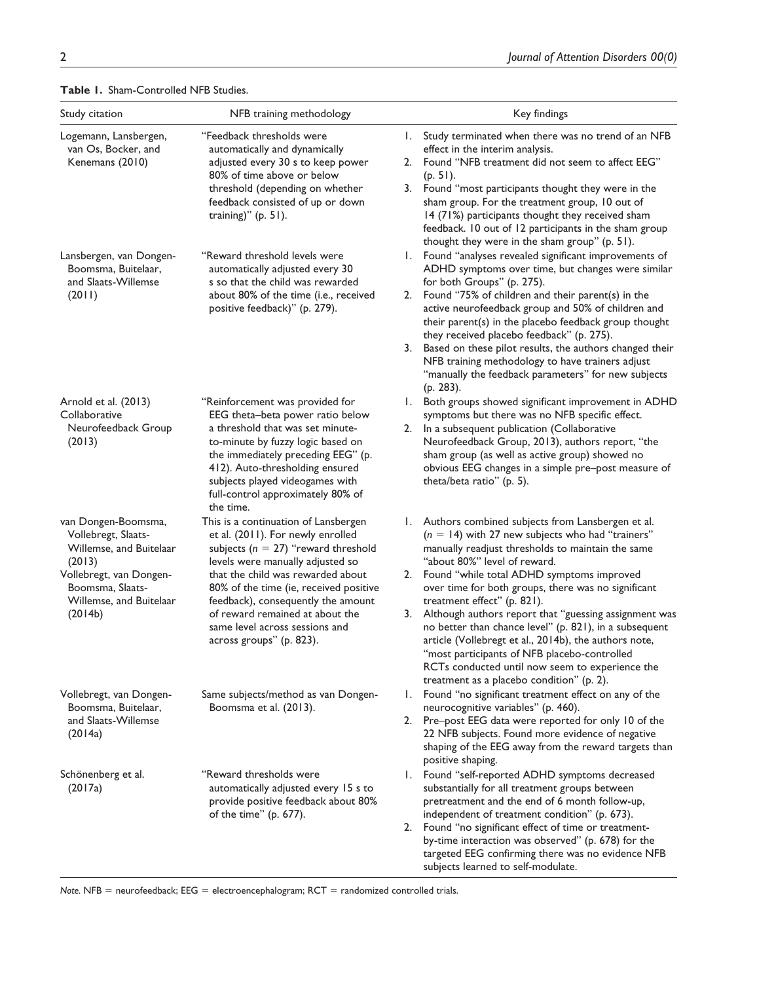| <b>Table 1.</b> Sham-Controlled NFB Studies. |  |
|----------------------------------------------|--|
|----------------------------------------------|--|

| Study citation                                                                                                                                                       | NFB training methodology                                                                                                                                                                                                                                                                                                                                                       | Key findings                                                                                                                                                                                                                                                                                                                                                                                                                                                                                                                                                                                                                                                              |
|----------------------------------------------------------------------------------------------------------------------------------------------------------------------|--------------------------------------------------------------------------------------------------------------------------------------------------------------------------------------------------------------------------------------------------------------------------------------------------------------------------------------------------------------------------------|---------------------------------------------------------------------------------------------------------------------------------------------------------------------------------------------------------------------------------------------------------------------------------------------------------------------------------------------------------------------------------------------------------------------------------------------------------------------------------------------------------------------------------------------------------------------------------------------------------------------------------------------------------------------------|
| Logemann, Lansbergen,<br>van Os, Bocker, and<br>Kenemans (2010)                                                                                                      | "Feedback thresholds were<br>automatically and dynamically<br>adjusted every 30 s to keep power<br>80% of time above or below<br>threshold (depending on whether<br>feedback consisted of up or down<br>training)" $(p. 51)$ .                                                                                                                                                 | Study terminated when there was no trend of an NFB<br>Ι.<br>effect in the interim analysis.<br>2. Found "NFB treatment did not seem to affect EEG"<br>$(p. 51)$ .<br>3. Found "most participants thought they were in the<br>sham group. For the treatment group, 10 out of<br>14 (71%) participants thought they received sham<br>feedback. 10 out of 12 participants in the sham group<br>thought they were in the sham group" (p. 51).                                                                                                                                                                                                                                 |
| Lansbergen, van Dongen-<br>Boomsma, Buitelaar,<br>and Slaats-Willemse<br>(2011)                                                                                      | "Reward threshold levels were<br>automatically adjusted every 30<br>s so that the child was rewarded<br>about 80% of the time (i.e., received<br>positive feedback)" (p. 279).                                                                                                                                                                                                 | Found "analyses revealed significant improvements of<br>Ι.<br>ADHD symptoms over time, but changes were similar<br>for both Groups" (p. 275).<br>Found "75% of children and their parent(s) in the<br>2.<br>active neurofeedback group and 50% of children and<br>their parent(s) in the placebo feedback group thought<br>they received placebo feedback" (p. 275).<br>Based on these pilot results, the authors changed their<br>3.<br>NFB training methodology to have trainers adjust<br>"manually the feedback parameters" for new subjects<br>(p. 283).                                                                                                             |
| Arnold et al. (2013)<br>Collaborative<br>Neurofeedback Group<br>(2013)                                                                                               | "Reinforcement was provided for<br>EEG theta-beta power ratio below<br>a threshold that was set minute-<br>to-minute by fuzzy logic based on<br>the immediately preceding EEG" (p.<br>412). Auto-thresholding ensured<br>subjects played videogames with<br>full-control approximately 80% of<br>the time.                                                                     | Both groups showed significant improvement in ADHD<br>Ι.<br>symptoms but there was no NFB specific effect.<br>In a subsequent publication (Collaborative<br>2.<br>Neurofeedback Group, 2013), authors report, "the<br>sham group (as well as active group) showed no<br>obvious EEG changes in a simple pre-post measure of<br>theta/beta ratio" (p. 5).                                                                                                                                                                                                                                                                                                                  |
| van Dongen-Boomsma,<br>Vollebregt, Slaats-<br>Willemse, and Buitelaar<br>(2013)<br>Vollebregt, van Dongen-<br>Boomsma, Slaats-<br>Willemse, and Buitelaar<br>(2014b) | This is a continuation of Lansbergen<br>et al. (2011). For newly enrolled<br>subjects ( $n = 27$ ) "reward threshold<br>levels were manually adjusted so<br>that the child was rewarded about<br>80% of the time (ie, received positive<br>feedback), consequently the amount<br>of reward remained at about the<br>same level across sessions and<br>across groups" (p. 823). | 1. Authors combined subjects from Lansbergen et al.<br>$(n = 14)$ with 27 new subjects who had "trainers"<br>manually readjust thresholds to maintain the same<br>"about 80%" level of reward.<br>Found "while total ADHD symptoms improved<br>2.<br>over time for both groups, there was no significant<br>treatment effect" (p. 821).<br>Although authors report that "guessing assignment was<br>3.<br>no better than chance level" (p. 821), in a subsequent<br>article (Vollebregt et al., 2014b), the authors note,<br>"most participants of NFB placebo-controlled<br>RCTs conducted until now seem to experience the<br>treatment as a placebo condition" (p. 2). |
| Vollebregt, van Dongen-<br>Boomsma, Buitelaar,<br>and Slaats-Willemse<br>(2014a)                                                                                     | Same subjects/method as van Dongen-<br>Boomsma et al. (2013).                                                                                                                                                                                                                                                                                                                  | Found "no significant treatment effect on any of the<br>Ι.<br>neurocognitive variables" (p. 460).<br>2. Pre-post EEG data were reported for only 10 of the<br>22 NFB subjects. Found more evidence of negative<br>shaping of the EEG away from the reward targets than<br>positive shaping.                                                                                                                                                                                                                                                                                                                                                                               |
| Schönenberg et al.<br>(2017a)                                                                                                                                        | "Reward thresholds were<br>automatically adjusted every 15 s to<br>provide positive feedback about 80%<br>of the time" (p. 677).                                                                                                                                                                                                                                               | Found "self-reported ADHD symptoms decreased<br>Ι.<br>substantially for all treatment groups between<br>pretreatment and the end of 6 month follow-up,<br>independent of treatment condition" (p. 673).<br>2.<br>Found "no significant effect of time or treatment-<br>by-time interaction was observed" (p. 678) for the<br>targeted EEG confirming there was no evidence NFB<br>subjects learned to self-modulate.                                                                                                                                                                                                                                                      |

*Note.* NFB = neurofeedback; EEG = electroencephalogram; RCT = randomized controlled trials.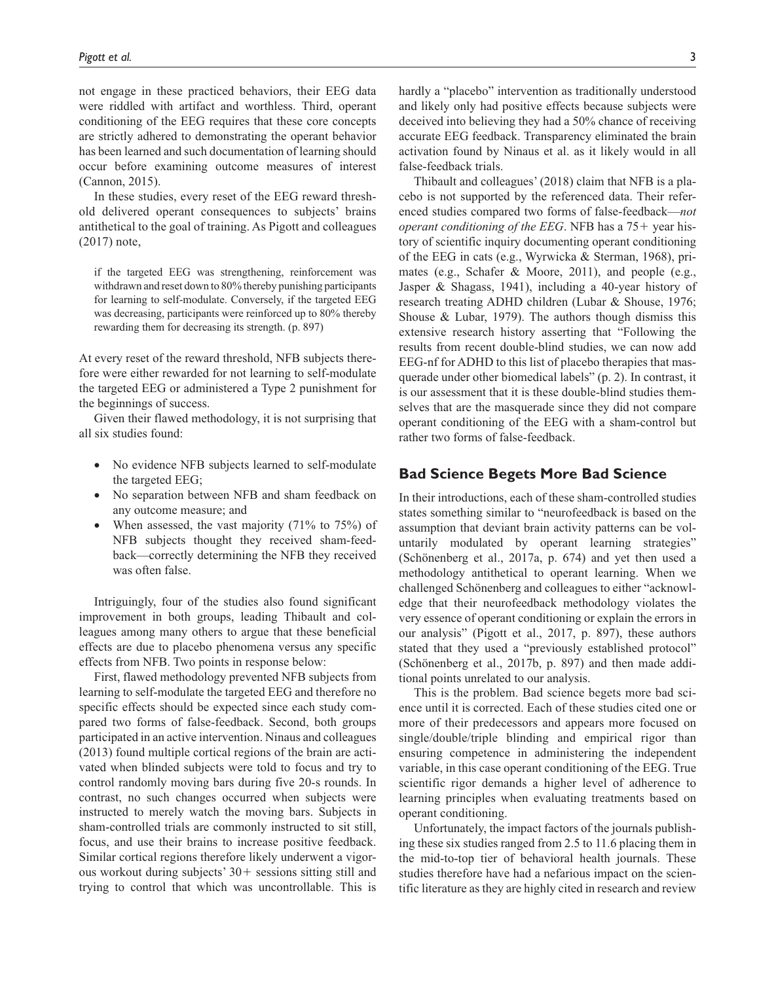not engage in these practiced behaviors, their EEG data were riddled with artifact and worthless. Third, operant conditioning of the EEG requires that these core concepts are strictly adhered to demonstrating the operant behavior has been learned and such documentation of learning should occur before examining outcome measures of interest (Cannon, 2015).

In these studies, every reset of the EEG reward threshold delivered operant consequences to subjects' brains antithetical to the goal of training. As Pigott and colleagues (2017) note,

if the targeted EEG was strengthening, reinforcement was withdrawn and reset down to 80% thereby punishing participants for learning to self-modulate. Conversely, if the targeted EEG was decreasing, participants were reinforced up to 80% thereby rewarding them for decreasing its strength. (p. 897)

At every reset of the reward threshold, NFB subjects therefore were either rewarded for not learning to self-modulate the targeted EEG or administered a Type 2 punishment for the beginnings of success.

Given their flawed methodology, it is not surprising that all six studies found:

- No evidence NFB subjects learned to self-modulate the targeted EEG;
- No separation between NFB and sham feedback on any outcome measure; and
- When assessed, the vast majority (71% to 75%) of NFB subjects thought they received sham-feedback—correctly determining the NFB they received was often false.

Intriguingly, four of the studies also found significant improvement in both groups, leading Thibault and colleagues among many others to argue that these beneficial effects are due to placebo phenomena versus any specific effects from NFB. Two points in response below:

First, flawed methodology prevented NFB subjects from learning to self-modulate the targeted EEG and therefore no specific effects should be expected since each study compared two forms of false-feedback. Second, both groups participated in an active intervention. Ninaus and colleagues (2013) found multiple cortical regions of the brain are activated when blinded subjects were told to focus and try to control randomly moving bars during five 20-s rounds. In contrast, no such changes occurred when subjects were instructed to merely watch the moving bars. Subjects in sham-controlled trials are commonly instructed to sit still, focus, and use their brains to increase positive feedback. Similar cortical regions therefore likely underwent a vigorous workout during subjects' 30+ sessions sitting still and trying to control that which was uncontrollable. This is

hardly a "placebo" intervention as traditionally understood and likely only had positive effects because subjects were deceived into believing they had a 50% chance of receiving accurate EEG feedback. Transparency eliminated the brain activation found by Ninaus et al. as it likely would in all false-feedback trials.

Thibault and colleagues' (2018) claim that NFB is a placebo is not supported by the referenced data. Their referenced studies compared two forms of false-feedback—*not operant conditioning of the EEG*. NFB has a 75+ year history of scientific inquiry documenting operant conditioning of the EEG in cats (e.g., Wyrwicka & Sterman, 1968), primates (e.g., Schafer & Moore, 2011), and people (e.g., Jasper & Shagass, 1941), including a 40-year history of research treating ADHD children (Lubar & Shouse, 1976; Shouse & Lubar, 1979). The authors though dismiss this extensive research history asserting that "Following the results from recent double-blind studies, we can now add EEG-nf for ADHD to this list of placebo therapies that masquerade under other biomedical labels" (p. 2). In contrast, it is our assessment that it is these double-blind studies themselves that are the masquerade since they did not compare operant conditioning of the EEG with a sham-control but rather two forms of false-feedback.

## **Bad Science Begets More Bad Science**

In their introductions, each of these sham-controlled studies states something similar to "neurofeedback is based on the assumption that deviant brain activity patterns can be voluntarily modulated by operant learning strategies" (Schönenberg et al., 2017a, p. 674) and yet then used a methodology antithetical to operant learning. When we challenged Schönenberg and colleagues to either "acknowledge that their neurofeedback methodology violates the very essence of operant conditioning or explain the errors in our analysis" (Pigott et al., 2017, p. 897), these authors stated that they used a "previously established protocol" (Schönenberg et al., 2017b, p. 897) and then made additional points unrelated to our analysis.

This is the problem. Bad science begets more bad science until it is corrected. Each of these studies cited one or more of their predecessors and appears more focused on single/double/triple blinding and empirical rigor than ensuring competence in administering the independent variable, in this case operant conditioning of the EEG. True scientific rigor demands a higher level of adherence to learning principles when evaluating treatments based on operant conditioning.

Unfortunately, the impact factors of the journals publishing these six studies ranged from 2.5 to 11.6 placing them in the mid-to-top tier of behavioral health journals. These studies therefore have had a nefarious impact on the scientific literature as they are highly cited in research and review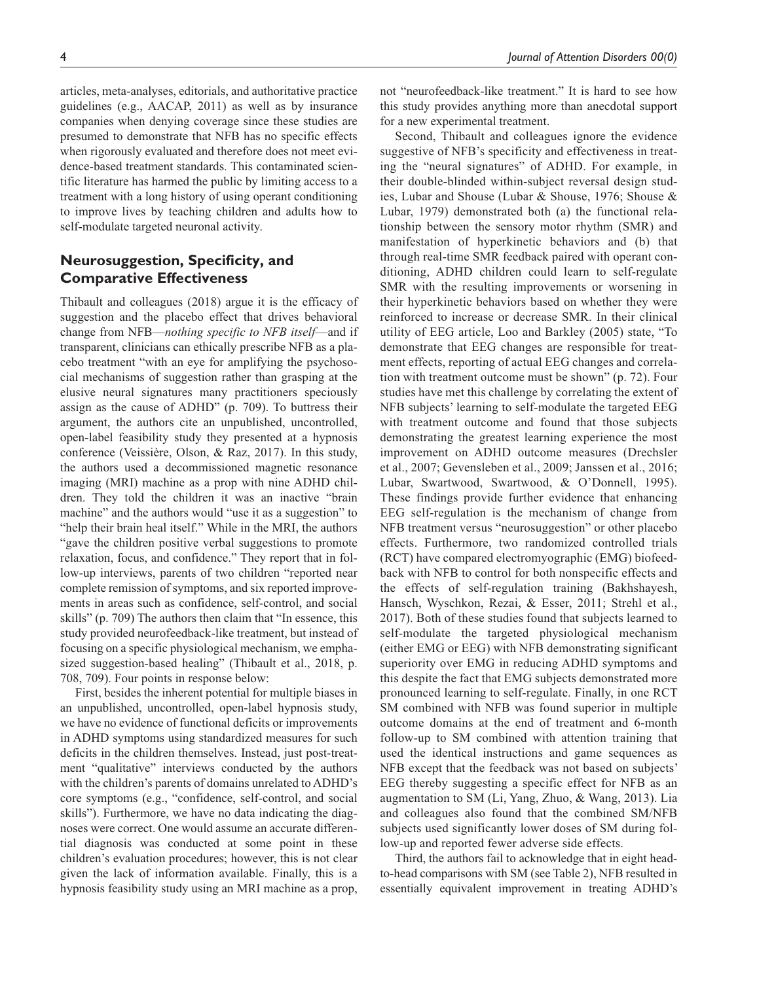articles, meta-analyses, editorials, and authoritative practice guidelines (e.g., AACAP, 2011) as well as by insurance companies when denying coverage since these studies are presumed to demonstrate that NFB has no specific effects when rigorously evaluated and therefore does not meet evidence-based treatment standards. This contaminated scientific literature has harmed the public by limiting access to a treatment with a long history of using operant conditioning to improve lives by teaching children and adults how to self-modulate targeted neuronal activity.

## **Neurosuggestion, Specificity, and Comparative Effectiveness**

Thibault and colleagues (2018) argue it is the efficacy of suggestion and the placebo effect that drives behavioral change from NFB—*nothing specific to NFB itself*—and if transparent, clinicians can ethically prescribe NFB as a placebo treatment "with an eye for amplifying the psychosocial mechanisms of suggestion rather than grasping at the elusive neural signatures many practitioners speciously assign as the cause of ADHD" (p. 709). To buttress their argument, the authors cite an unpublished, uncontrolled, open-label feasibility study they presented at a hypnosis conference (Veissière, Olson, & Raz, 2017). In this study, the authors used a decommissioned magnetic resonance imaging (MRI) machine as a prop with nine ADHD children. They told the children it was an inactive "brain machine" and the authors would "use it as a suggestion" to "help their brain heal itself." While in the MRI, the authors "gave the children positive verbal suggestions to promote relaxation, focus, and confidence." They report that in follow-up interviews, parents of two children "reported near complete remission of symptoms, and six reported improvements in areas such as confidence, self-control, and social skills" (p. 709) The authors then claim that "In essence, this study provided neurofeedback-like treatment, but instead of focusing on a specific physiological mechanism, we emphasized suggestion-based healing" (Thibault et al., 2018, p. 708, 709). Four points in response below:

First, besides the inherent potential for multiple biases in an unpublished, uncontrolled, open-label hypnosis study, we have no evidence of functional deficits or improvements in ADHD symptoms using standardized measures for such deficits in the children themselves. Instead, just post-treatment "qualitative" interviews conducted by the authors with the children's parents of domains unrelated to ADHD's core symptoms (e.g., "confidence, self-control, and social skills"). Furthermore, we have no data indicating the diagnoses were correct. One would assume an accurate differential diagnosis was conducted at some point in these children's evaluation procedures; however, this is not clear given the lack of information available. Finally, this is a hypnosis feasibility study using an MRI machine as a prop, not "neurofeedback-like treatment." It is hard to see how this study provides anything more than anecdotal support for a new experimental treatment.

Second, Thibault and colleagues ignore the evidence suggestive of NFB's specificity and effectiveness in treating the "neural signatures" of ADHD. For example, in their double-blinded within-subject reversal design studies, Lubar and Shouse (Lubar & Shouse, 1976; Shouse & Lubar, 1979) demonstrated both (a) the functional relationship between the sensory motor rhythm (SMR) and manifestation of hyperkinetic behaviors and (b) that through real-time SMR feedback paired with operant conditioning, ADHD children could learn to self-regulate SMR with the resulting improvements or worsening in their hyperkinetic behaviors based on whether they were reinforced to increase or decrease SMR. In their clinical utility of EEG article, Loo and Barkley (2005) state, "To demonstrate that EEG changes are responsible for treatment effects, reporting of actual EEG changes and correlation with treatment outcome must be shown" (p. 72). Four studies have met this challenge by correlating the extent of NFB subjects' learning to self-modulate the targeted EEG with treatment outcome and found that those subjects demonstrating the greatest learning experience the most improvement on ADHD outcome measures (Drechsler et al., 2007; Gevensleben et al., 2009; Janssen et al., 2016; Lubar, Swartwood, Swartwood, & O'Donnell, 1995). These findings provide further evidence that enhancing EEG self-regulation is the mechanism of change from NFB treatment versus "neurosuggestion" or other placebo effects. Furthermore, two randomized controlled trials (RCT) have compared electromyographic (EMG) biofeedback with NFB to control for both nonspecific effects and the effects of self-regulation training (Bakhshayesh, Hansch, Wyschkon, Rezai, & Esser, 2011; Strehl et al., 2017). Both of these studies found that subjects learned to self-modulate the targeted physiological mechanism (either EMG or EEG) with NFB demonstrating significant superiority over EMG in reducing ADHD symptoms and this despite the fact that EMG subjects demonstrated more pronounced learning to self-regulate. Finally, in one RCT SM combined with NFB was found superior in multiple outcome domains at the end of treatment and 6-month follow-up to SM combined with attention training that used the identical instructions and game sequences as NFB except that the feedback was not based on subjects' EEG thereby suggesting a specific effect for NFB as an augmentation to SM (Li, Yang, Zhuo, & Wang, 2013). Lia and colleagues also found that the combined SM/NFB subjects used significantly lower doses of SM during follow-up and reported fewer adverse side effects.

Third, the authors fail to acknowledge that in eight headto-head comparisons with SM (see Table 2), NFB resulted in essentially equivalent improvement in treating ADHD's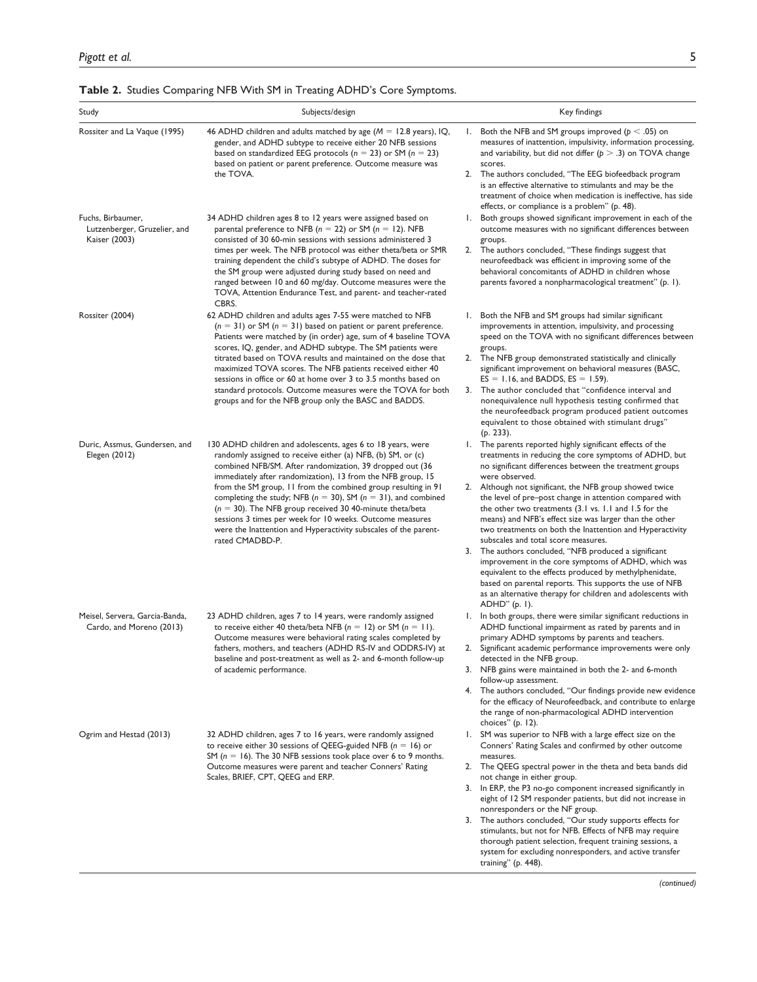| Study                                                              | Subjects/design                                                                                                                                                                                                                                                                                                                                                                                                                                            |    | Key findings                                                                                                                                                                                                                                                                                                                                                                                                                            |
|--------------------------------------------------------------------|------------------------------------------------------------------------------------------------------------------------------------------------------------------------------------------------------------------------------------------------------------------------------------------------------------------------------------------------------------------------------------------------------------------------------------------------------------|----|-----------------------------------------------------------------------------------------------------------------------------------------------------------------------------------------------------------------------------------------------------------------------------------------------------------------------------------------------------------------------------------------------------------------------------------------|
| Rossiter and La Vaque (1995)                                       | 46 ADHD children and adults matched by age ( $M = 12.8$ years), IQ,<br>gender, and ADHD subtype to receive either 20 NFB sessions<br>based on standardized EEG protocols ( $n = 23$ ) or SM ( $n = 23$ )<br>based on patient or parent preference. Outcome measure was<br>the TOVA.                                                                                                                                                                        |    | Both the NFB and SM groups improved ( $p < .05$ ) on<br>measures of inattention, impulsivity, information processing,<br>and variability, but did not differ ( $p > .3$ ) on TOVA change<br>scores.<br>The authors concluded, "The EEG biofeedback program<br>is an effective alternative to stimulants and may be the<br>treatment of choice when medication is ineffective, has side<br>effects, or compliance is a problem" (p. 48). |
| Fuchs, Birbaumer,<br>Lutzenberger, Gruzelier, and<br>Kaiser (2003) | 34 ADHD children ages 8 to 12 years were assigned based on<br>parental preference to NFB ( $n = 22$ ) or SM ( $n = 12$ ). NFB<br>consisted of 30 60-min sessions with sessions administered 3<br>times per week. The NFB protocol was either theta/beta or SMR<br>training dependent the child's subtype of ADHD. The doses for<br>the SM group were adjusted during study based on need and<br>ranged between 10 and 60 mg/day. Outcome measures were the | 2. | Both groups showed significant improvement in each of the<br>outcome measures with no significant differences between<br>groups.<br>The authors concluded, "These findings suggest that<br>neurofeedback was efficient in improving some of the<br>behavioral concomitants of ADHD in children whose<br>parents favored a nonpharmacological treatment" (p. 1).                                                                         |

## **Table 2. Studies C**

|                 | CBRS.                                                              |
|-----------------|--------------------------------------------------------------------|
| Rossiter (2004) | 62 ADHD children and adults ages 7-55 were matched to NFB          |
|                 | $(n = 31)$ or SM $(n = 31)$ based on patient or parent preference. |
|                 | Patients were matched by (in order) age, sum of 4 baseline TOVA    |
|                 | scores, IQ, gender, and ADHD subtype. The SM patients were         |
|                 | titrated based on TOVA results and maintained on the dose that     |
|                 | maximized TOVA scores. The NFB patients received either 40         |
|                 | sessions in office or 60 at home over 3 to 3.5 months based on     |
|                 | standard protocols. Outcome measures were the TOVA for both        |
|                 | groups and for the NFB group only the BASC and BADDS.              |

TOVA, Attention Endurance Test, and parent- and teacher-rated

Duric, Assmus, Gundersen, and Elegen (2012) 130 ADHD children and adolescents, ages 6 to 18 years, were randomly assigned to receive either (a) NFB, (b) SM, or (c) combined NFB/SM. After randomization, 39 dropped out (36 immediately after randomization), 13 from the NFB group, 15 from the SM group, 11 from the combined group resulting in 91 completing the study; NFB ( $n = 30$ ), SM ( $n = 31$ ), and combined (*n* = 30). The NFB group received 30 40-minute theta/beta sessions 3 times per week for 10 weeks. Outcome measures were the Inattention and Hyperactivity subscales of the parentrated CMADBD-P.

Meisel, Servera, Garcia-Banda, Cardo, and Moreno (2013) 23 ADHD children, ages 7 to 14 years, were randomly assigned to receive either 40 theta/beta NFB  $(n = 12)$  or SM  $(n = 11)$ . Outcome measures were behavioral rating scales completed by fathers, mothers, and teachers (ADHD RS-IV and ODDRS-IV) at baseline and post-treatment as well as 2- and 6-month follow-up of academic performance.

Ogrim and Hestad (2013) 32 ADHD children, ages 7 to 16 years, were randomly assigned to receive either 30 sessions of QEEG-guided NFB (*n* = 16) or SM (*n* = 16). The 30 NFB sessions took place over 6 to 9 months. Outcome measures were parent and teacher Conners' Rating Scales, BRIEF, CPT, QEEG and ERP.

1. Both the NFB and SM groups had similar significant improvements in attention, impulsivity, and processing speed on the TOVA with no significant differences between

2. The NFB group demonstrated statistically and clinically significant improvement on behavioral measures (BASC,

3. The author concluded that "confidence interval and nonequivalence null hypothesis testing confirmed that the neurofeedback program produced patient outcomes equivalent to those obtained with stimulant drugs"

1. The parents reported highly significant effects of the treatments in reducing the core symptoms of ADHD, but no significant differences between the treatment groups

2. Although not significant, the NFB group showed twice the level of pre–post change in attention compared with the other two treatments (3.1 vs. 1.1 and 1.5 for the means) and NFB's effect size was larger than the other two treatments on both the Inattention and Hyperactivity

1. In both groups, there were similar significant reductions in ADHD functional impairment as rated by parents and in primary ADHD symptoms by parents and teachers. Significant academic performance improvements were only

3. NFB gains were maintained in both the 2- and 6-month

1. SM was superior to NFB with a large effect size on the Conners' Rating Scales and confirmed by other outcome

2. The QEEG spectral power in the theta and beta bands did

3. In ERP, the P3 no-go component increased significantly in eight of 12 SM responder patients, but did not increase in

3. The authors concluded, "Our study supports effects for stimulants, but not for NFB. Effects of NFB may require thorough patient selection, frequent training sessions, a system for excluding nonresponders, and active transfer

4. The authors concluded, "Our findings provide new evidence for the efficacy of Neurofeedback, and contribute to enlarge the range of non-pharmacological ADHD intervention

 $ES = 1.16$ , and BADDS,  $ES = 1.59$ ).

subscales and total score measures. 3. The authors concluded, "NFB produced a significant improvement in the core symptoms of ADHD, which was equivalent to the effects produced by methylphenidate, based on parental reports. This supports the use of NFB as an alternative therapy for children and adolescents with

groups.

(p. 233).

were observed.

ADHD" (p. 1).

detected in the NFB group.

not change in either group.

nonresponders or the NF group.

follow-up assessment.

choices" (p. 12).

training" (p. 448).

measures.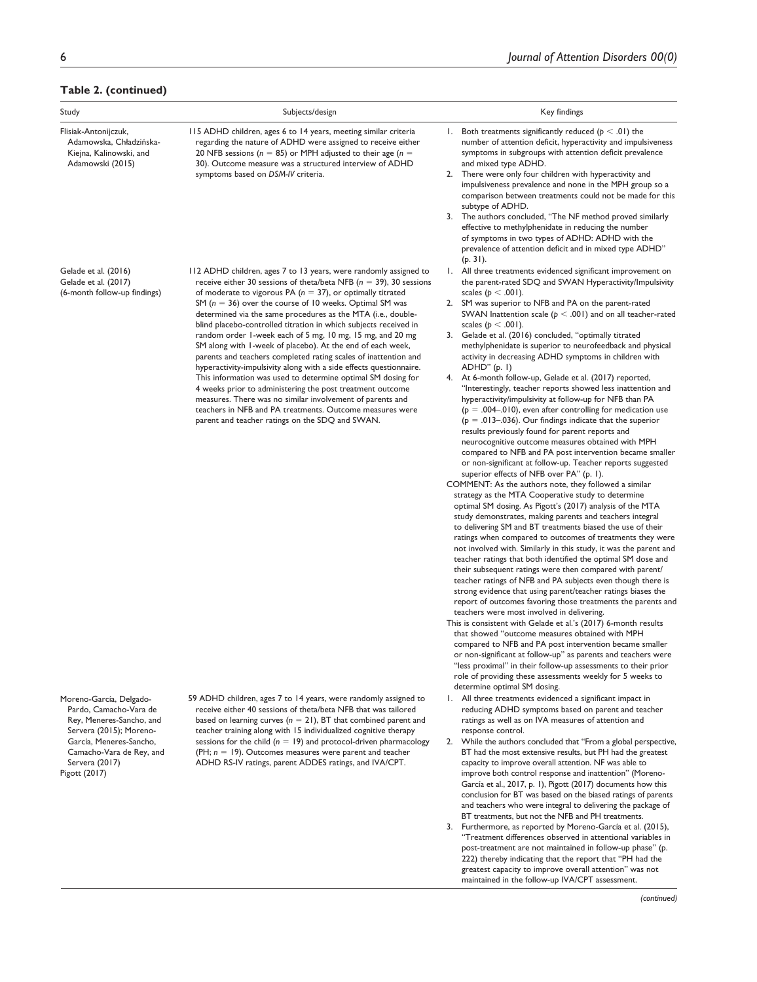## **Table 2. (continued)**

| Study                                                                                                                                                                                              | Subjects/design                                                                                                                                                                                                                                                                                                                                                                                                                                                                                                                                                                                                                                                                                                                                                                                                                                                                                                                                                                              | Key findings                                                                                                                                                                                                                                                                                                                                                                                                                                                                                                                                                                                                                                                                                                                                                                                                                                                                                                                                                                                                                                                                                                                                                                                                                                                                                                                                                                                                                                                                                                                                                                                                                                                                                                                                                                                                                                                                                                                                                                                                                                                                                                                                                                                                                                                                                                                            |
|----------------------------------------------------------------------------------------------------------------------------------------------------------------------------------------------------|----------------------------------------------------------------------------------------------------------------------------------------------------------------------------------------------------------------------------------------------------------------------------------------------------------------------------------------------------------------------------------------------------------------------------------------------------------------------------------------------------------------------------------------------------------------------------------------------------------------------------------------------------------------------------------------------------------------------------------------------------------------------------------------------------------------------------------------------------------------------------------------------------------------------------------------------------------------------------------------------|-----------------------------------------------------------------------------------------------------------------------------------------------------------------------------------------------------------------------------------------------------------------------------------------------------------------------------------------------------------------------------------------------------------------------------------------------------------------------------------------------------------------------------------------------------------------------------------------------------------------------------------------------------------------------------------------------------------------------------------------------------------------------------------------------------------------------------------------------------------------------------------------------------------------------------------------------------------------------------------------------------------------------------------------------------------------------------------------------------------------------------------------------------------------------------------------------------------------------------------------------------------------------------------------------------------------------------------------------------------------------------------------------------------------------------------------------------------------------------------------------------------------------------------------------------------------------------------------------------------------------------------------------------------------------------------------------------------------------------------------------------------------------------------------------------------------------------------------------------------------------------------------------------------------------------------------------------------------------------------------------------------------------------------------------------------------------------------------------------------------------------------------------------------------------------------------------------------------------------------------------------------------------------------------------------------------------------------------|
| Flisiak-Antonijczuk,<br>Adamowska, Chładzińska-<br>Kiejna, Kalinowski, and<br>Adamowski (2015)                                                                                                     | 115 ADHD children, ages 6 to 14 years, meeting similar criteria<br>regarding the nature of ADHD were assigned to receive either<br>20 NFB sessions ( $n = 85$ ) or MPH adjusted to their age ( $n =$<br>30). Outcome measure was a structured interview of ADHD<br>symptoms based on DSM-IV criteria.                                                                                                                                                                                                                                                                                                                                                                                                                                                                                                                                                                                                                                                                                        | 1. Both treatments significantly reduced ( $p < .01$ ) the<br>number of attention deficit, hyperactivity and impulsiveness<br>symptoms in subgroups with attention deficit prevalence<br>and mixed type ADHD.<br>2. There were only four children with hyperactivity and<br>impulsiveness prevalence and none in the MPH group so a<br>comparison between treatments could not be made for this<br>subtype of ADHD.<br>3. The authors concluded, "The NF method proved similarly<br>effective to methylphenidate in reducing the number<br>of symptoms in two types of ADHD: ADHD with the<br>prevalence of attention deficit and in mixed type ADHD"<br>$(p. 31)$ .                                                                                                                                                                                                                                                                                                                                                                                                                                                                                                                                                                                                                                                                                                                                                                                                                                                                                                                                                                                                                                                                                                                                                                                                                                                                                                                                                                                                                                                                                                                                                                                                                                                                    |
| Gelade et al. (2016)<br>Gelade et al. (2017)<br>(6-month follow-up findings)                                                                                                                       | 112 ADHD children, ages 7 to 13 years, were randomly assigned to<br>receive either 30 sessions of theta/beta NFB ( $n = 39$ ), 30 sessions<br>of moderate to vigorous PA ( $n = 37$ ), or optimally titrated<br>SM ( $n = 36$ ) over the course of 10 weeks. Optimal SM was<br>determined via the same procedures as the MTA (i.e., double-<br>blind placebo-controlled titration in which subjects received in<br>random order 1-week each of 5 mg, 10 mg, 15 mg, and 20 mg<br>SM along with 1-week of placebo). At the end of each week,<br>parents and teachers completed rating scales of inattention and<br>hyperactivity-impulsivity along with a side effects questionnaire.<br>This information was used to determine optimal SM dosing for<br>4 weeks prior to administering the post treatment outcome<br>measures. There was no similar involvement of parents and<br>teachers in NFB and PA treatments. Outcome measures were<br>parent and teacher ratings on the SDQ and SWAN. | 1. All three treatments evidenced significant improvement on<br>the parent-rated SDQ and SWAN Hyperactivity/Impulsivity<br>scales ( $p < .001$ ).<br>2. SM was superior to NFB and PA on the parent-rated<br>SWAN Inattention scale ( $p < .001$ ) and on all teacher-rated<br>scales ( $p < .001$ ).<br>3. Gelade et al. (2016) concluded, "optimally titrated<br>methylphenidate is superior to neurofeedback and physical<br>activity in decreasing ADHD symptoms in children with<br>ADHD''(p. 1)<br>4. At 6-month follow-up, Gelade et al. (2017) reported,<br>"Interestingly, teacher reports showed less inattention and<br>hyperactivity/impulsivity at follow-up for NFB than PA<br>$(p = .004-.010)$ , even after controlling for medication use<br>( $p = .013$ –.036). Our findings indicate that the superior<br>results previously found for parent reports and<br>neurocognitive outcome measures obtained with MPH<br>compared to NFB and PA post intervention became smaller<br>or non-significant at follow-up. Teacher reports suggested<br>superior effects of NFB over PA" (p. 1).<br>COMMENT: As the authors note, they followed a similar<br>strategy as the MTA Cooperative study to determine<br>optimal SM dosing. As Pigott's (2017) analysis of the MTA<br>study demonstrates, making parents and teachers integral<br>to delivering SM and BT treatments biased the use of their<br>ratings when compared to outcomes of treatments they were<br>not involved with. Similarly in this study, it was the parent and<br>teacher ratings that both identified the optimal SM dose and<br>their subsequent ratings were then compared with parent/<br>teacher ratings of NFB and PA subjects even though there is<br>strong evidence that using parent/teacher ratings biases the<br>report of outcomes favoring those treatments the parents and<br>teachers were most involved in delivering.<br>This is consistent with Gelade et al.'s (2017) 6-month results<br>that showed "outcome measures obtained with MPH<br>compared to NFB and PA post intervention became smaller<br>or non-significant at follow-up" as parents and teachers were<br>"less proximal" in their follow-up assessments to their prior<br>role of providing these assessments weekly for 5 weeks to<br>determine optimal SM dosing. |
| Moreno-García, Delgado-<br>Pardo, Camacho-Vara de<br>Rey, Meneres-Sancho, and<br>Servera (2015); Moreno-<br>García, Meneres-Sancho,<br>Camacho-Vara de Rey, and<br>Servera (2017)<br>Pigott (2017) | 59 ADHD children, ages 7 to 14 years, were randomly assigned to<br>receive either 40 sessions of theta/beta NFB that was tailored<br>based on learning curves ( $n = 21$ ), BT that combined parent and<br>teacher training along with 15 individualized cognitive therapy<br>sessions for the child ( $n = 19$ ) and protocol-driven pharmacology<br>(PH; $n = 19$ ). Outcomes measures were parent and teacher<br>ADHD RS-IV ratings, parent ADDES ratings, and IVA/CPT.                                                                                                                                                                                                                                                                                                                                                                                                                                                                                                                   | 1. All three treatments evidenced a significant impact in<br>reducing ADHD symptoms based on parent and teacher<br>ratings as well as on IVA measures of attention and<br>response control.<br>While the authors concluded that "From a global perspective,<br>2.<br>BT had the most extensive results, but PH had the greatest<br>capacity to improve overall attention. NF was able to<br>improve both control response and inattention" (Moreno-<br>García et al., 2017, p. 1), Pigott (2017) documents how this<br>conclusion for BT was based on the biased ratings of parents<br>and teachers who were integral to delivering the package of<br>BT treatments, but not the NFB and PH treatments.<br>Furthermore, as reported by Moreno-García et al. (2015),<br>3.<br>"Treatment differences observed in attentional variables in<br>post-treatment are not maintained in follow-up phase" (p.<br>222) thereby indicating that the report that "PH had the<br>greatest capacity to improve overall attention" was not<br>maintained in the follow-up IVA/CPT assessment.                                                                                                                                                                                                                                                                                                                                                                                                                                                                                                                                                                                                                                                                                                                                                                                                                                                                                                                                                                                                                                                                                                                                                                                                                                                         |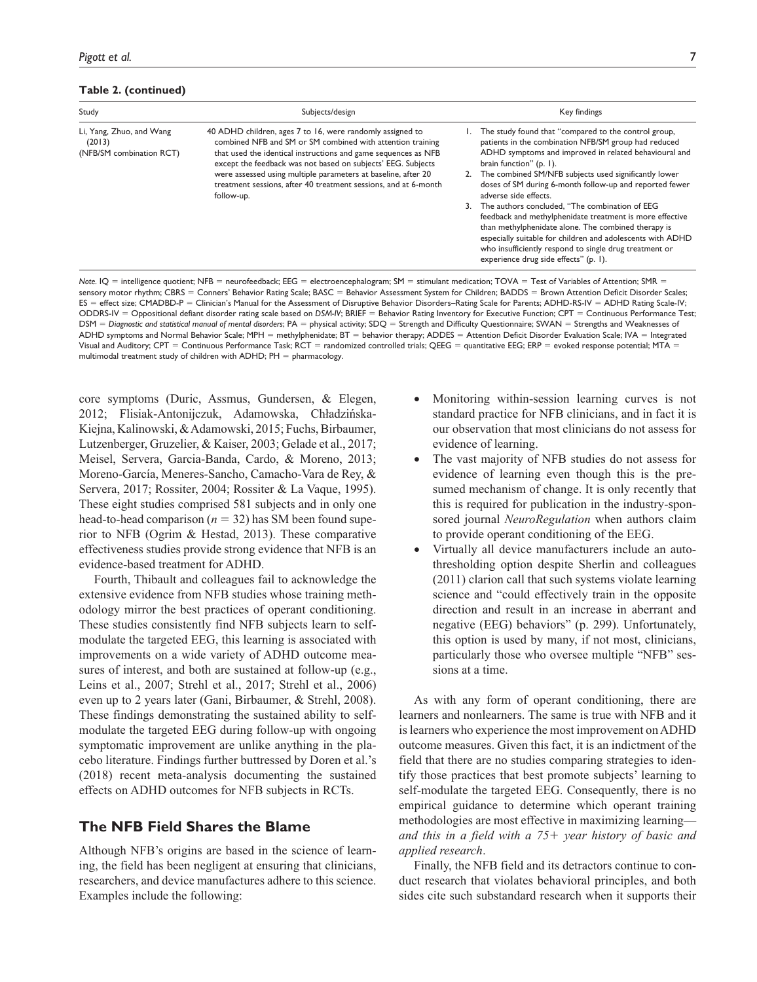#### **Table 2. (continued)**

| Study                                                          | Subjects/design                                                                                                                                                                                                                                                                                                                                                                                             | Key findings                                                                                                                                                                                                                                                                                                                                                                                                                                                                                                                                                                                                                                                                           |
|----------------------------------------------------------------|-------------------------------------------------------------------------------------------------------------------------------------------------------------------------------------------------------------------------------------------------------------------------------------------------------------------------------------------------------------------------------------------------------------|----------------------------------------------------------------------------------------------------------------------------------------------------------------------------------------------------------------------------------------------------------------------------------------------------------------------------------------------------------------------------------------------------------------------------------------------------------------------------------------------------------------------------------------------------------------------------------------------------------------------------------------------------------------------------------------|
| Li, Yang, Zhuo, and Wang<br>(2013)<br>(NFB/SM combination RCT) | 40 ADHD children, ages 7 to 16, were randomly assigned to<br>combined NFB and SM or SM combined with attention training<br>that used the identical instructions and game sequences as NFB<br>except the feedback was not based on subjects' EEG. Subjects<br>were assessed using multiple parameters at baseline, after 20<br>treatment sessions, after 40 treatment sessions, and at 6-month<br>follow-up. | The study found that "compared to the control group,<br>patients in the combination NFB/SM group had reduced<br>ADHD symptoms and improved in related behavioural and<br>brain function" $(p, l)$ .<br>The combined SM/NFB subjects used significantly lower<br>doses of SM during 6-month follow-up and reported fewer<br>adverse side effects.<br>The authors concluded, "The combination of EEG<br>feedback and methylphenidate treatment is more effective<br>than methylphenidate alone. The combined therapy is<br>especially suitable for children and adolescents with ADHD<br>who insufficiently respond to single drug treatment or<br>experience drug side effects" (p. 1). |

*Note.* IQ = intelligence quotient; NFB = neurofeedback; EEG = electroencephalogram; SM = stimulant medication; TOVA = Test of Variables of Attention; SMR = sensory motor rhythm; CBRS = Conners' Behavior Rating Scale; BASC = Behavior Assessment System for Children; BADDS = Brown Attention Deficit Disorder Scales; ES = effect size; CMADBD-P = Clinician's Manual for the Assessment of Disruptive Behavior Disorders–Rating Scale for Parents; ADHD-RS-IV = ADHD Rating Scale-IV; ODDRS-IV = Oppositional defiant disorder rating scale based on *DSM-IV*; BRIEF = Behavior Rating Inventory for Executive Function; CPT = Continuous Performance Test; DSM = Diagnostic and statistical manual of mental disorders; PA = physical activity; SDQ = Strength and Difficulty Questionnaire; SWAN = Strengths and Weaknesses of ADHD symptoms and Normal Behavior Scale; MPH = methylphenidate; BT = behavior therapy; ADDES = Attention Deficit Disorder Evaluation Scale; IVA = Integrated Visual and Auditory; CPT = Continuous Performance Task; RCT = randomized controlled trials; QEEG = quantitative EEG; ERP = evoked response potential; MTA = multimodal treatment study of children with ADHD; PH = pharmacology.

core symptoms (Duric, Assmus, Gundersen, & Elegen, 2012; Flisiak-Antonijczuk, Adamowska, Chładzińska-Kiejna, Kalinowski, & Adamowski, 2015; Fuchs, Birbaumer, Lutzenberger, Gruzelier, & Kaiser, 2003; Gelade et al., 2017; Meisel, Servera, Garcia-Banda, Cardo, & Moreno, 2013; Moreno-García, Meneres-Sancho, Camacho-Vara de Rey, & Servera, 2017; Rossiter, 2004; Rossiter & La Vaque, 1995). These eight studies comprised 581 subjects and in only one head-to-head comparison  $(n = 32)$  has SM been found superior to NFB (Ogrim & Hestad, 2013). These comparative effectiveness studies provide strong evidence that NFB is an evidence-based treatment for ADHD.

Fourth, Thibault and colleagues fail to acknowledge the extensive evidence from NFB studies whose training methodology mirror the best practices of operant conditioning. These studies consistently find NFB subjects learn to selfmodulate the targeted EEG, this learning is associated with improvements on a wide variety of ADHD outcome measures of interest, and both are sustained at follow-up (e.g., Leins et al., 2007; Strehl et al., 2017; Strehl et al., 2006) even up to 2 years later (Gani, Birbaumer, & Strehl, 2008). These findings demonstrating the sustained ability to selfmodulate the targeted EEG during follow-up with ongoing symptomatic improvement are unlike anything in the placebo literature. Findings further buttressed by Doren et al.'s (2018) recent meta-analysis documenting the sustained effects on ADHD outcomes for NFB subjects in RCTs.

## **The NFB Field Shares the Blame**

Although NFB's origins are based in the science of learning, the field has been negligent at ensuring that clinicians, researchers, and device manufactures adhere to this science. Examples include the following:

- Monitoring within-session learning curves is not standard practice for NFB clinicians, and in fact it is our observation that most clinicians do not assess for evidence of learning.
- The vast majority of NFB studies do not assess for evidence of learning even though this is the presumed mechanism of change. It is only recently that this is required for publication in the industry-sponsored journal *NeuroRegulation* when authors claim to provide operant conditioning of the EEG.
- Virtually all device manufacturers include an autothresholding option despite Sherlin and colleagues (2011) clarion call that such systems violate learning science and "could effectively train in the opposite direction and result in an increase in aberrant and negative (EEG) behaviors" (p. 299). Unfortunately, this option is used by many, if not most, clinicians, particularly those who oversee multiple "NFB" sessions at a time.

As with any form of operant conditioning, there are learners and nonlearners. The same is true with NFB and it is learners who experience the most improvement on ADHD outcome measures. Given this fact, it is an indictment of the field that there are no studies comparing strategies to identify those practices that best promote subjects' learning to self-modulate the targeted EEG. Consequently, there is no empirical guidance to determine which operant training methodologies are most effective in maximizing learning *and this in a field with a 75*+ *year history of basic and applied research*.

Finally, the NFB field and its detractors continue to conduct research that violates behavioral principles, and both sides cite such substandard research when it supports their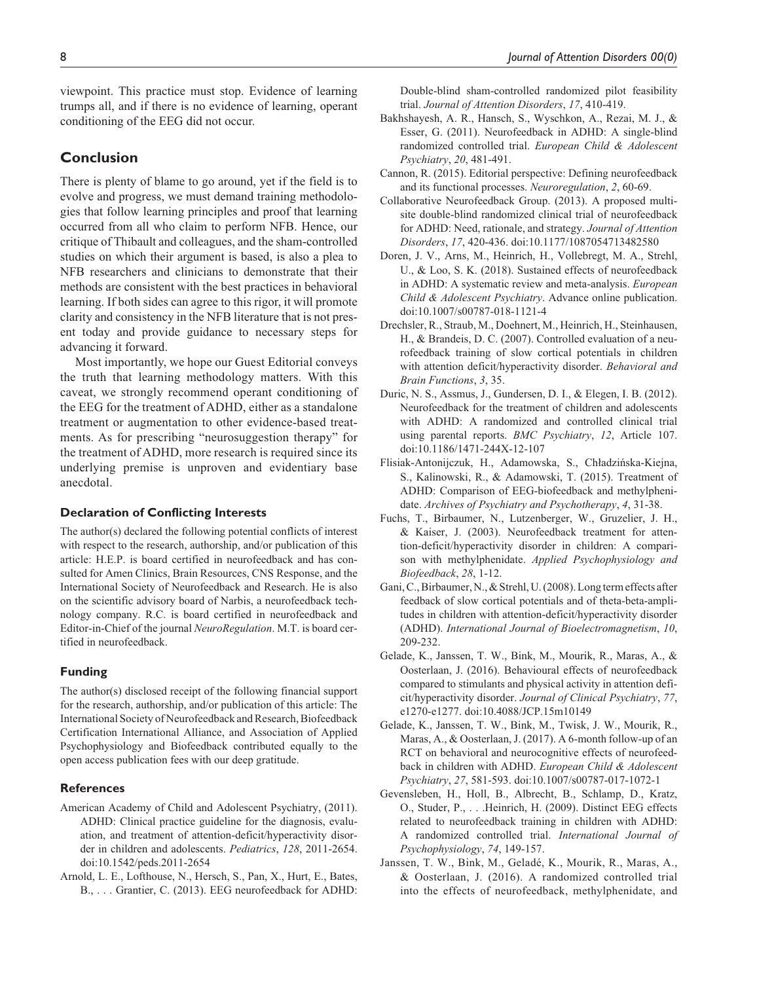viewpoint. This practice must stop. Evidence of learning trumps all, and if there is no evidence of learning, operant conditioning of the EEG did not occur.

## **Conclusion**

There is plenty of blame to go around, yet if the field is to evolve and progress, we must demand training methodologies that follow learning principles and proof that learning occurred from all who claim to perform NFB. Hence, our critique of Thibault and colleagues, and the sham-controlled studies on which their argument is based, is also a plea to NFB researchers and clinicians to demonstrate that their methods are consistent with the best practices in behavioral learning. If both sides can agree to this rigor, it will promote clarity and consistency in the NFB literature that is not present today and provide guidance to necessary steps for advancing it forward.

Most importantly, we hope our Guest Editorial conveys the truth that learning methodology matters. With this caveat, we strongly recommend operant conditioning of the EEG for the treatment of ADHD, either as a standalone treatment or augmentation to other evidence-based treatments. As for prescribing "neurosuggestion therapy" for the treatment of ADHD, more research is required since its underlying premise is unproven and evidentiary base anecdotal.

### **Declaration of Conflicting Interests**

The author(s) declared the following potential conflicts of interest with respect to the research, authorship, and/or publication of this article: H.E.P. is board certified in neurofeedback and has consulted for Amen Clinics, Brain Resources, CNS Response, and the International Society of Neurofeedback and Research. He is also on the scientific advisory board of Narbis, a neurofeedback technology company. R.C. is board certified in neurofeedback and Editor-in-Chief of the journal *NeuroRegulation*. M.T. is board certified in neurofeedback.

### **Funding**

The author(s) disclosed receipt of the following financial support for the research, authorship, and/or publication of this article: The International Society of Neurofeedback and Research, Biofeedback Certification International Alliance, and Association of Applied Psychophysiology and Biofeedback contributed equally to the open access publication fees with our deep gratitude.

#### **References**

- American Academy of Child and Adolescent Psychiatry, (2011). ADHD: Clinical practice guideline for the diagnosis, evaluation, and treatment of attention-deficit/hyperactivity disorder in children and adolescents. *Pediatrics*, *128*, 2011-2654. doi:10.1542/peds.2011-2654
- Arnold, L. E., Lofthouse, N., Hersch, S., Pan, X., Hurt, E., Bates, B., . . . Grantier, C. (2013). EEG neurofeedback for ADHD:

Double-blind sham-controlled randomized pilot feasibility trial. *Journal of Attention Disorders*, *17*, 410-419.

- Bakhshayesh, A. R., Hansch, S., Wyschkon, A., Rezai, M. J., & Esser, G. (2011). Neurofeedback in ADHD: A single-blind randomized controlled trial. *European Child & Adolescent Psychiatry*, *20*, 481-491.
- Cannon, R. (2015). Editorial perspective: Defining neurofeedback and its functional processes. *Neuroregulation*, *2*, 60-69.
- Collaborative Neurofeedback Group. (2013). A proposed multisite double-blind randomized clinical trial of neurofeedback for ADHD: Need, rationale, and strategy. *Journal of Attention Disorders*, *17*, 420-436. doi:10.1177/1087054713482580
- Doren, J. V., Arns, M., Heinrich, H., Vollebregt, M. A., Strehl, U., & Loo, S. K. (2018). Sustained effects of neurofeedback in ADHD: A systematic review and meta-analysis. *European Child & Adolescent Psychiatry*. Advance online publication. doi:10.1007/s00787-018-1121-4
- Drechsler, R., Straub, M., Doehnert, M., Heinrich, H., Steinhausen, H., & Brandeis, D. C. (2007). Controlled evaluation of a neurofeedback training of slow cortical potentials in children with attention deficit/hyperactivity disorder. *Behavioral and Brain Functions*, *3*, 35.
- Duric, N. S., Assmus, J., Gundersen, D. I., & Elegen, I. B. (2012). Neurofeedback for the treatment of children and adolescents with ADHD: A randomized and controlled clinical trial using parental reports. *BMC Psychiatry*, *12*, Article 107. doi:10.1186/1471-244X-12-107
- Flisiak-Antonijczuk, H., Adamowska, S., Chładzińska-Kiejna, S., Kalinowski, R., & Adamowski, T. (2015). Treatment of ADHD: Comparison of EEG-biofeedback and methylphenidate. *Archives of Psychiatry and Psychotherapy*, *4*, 31-38.
- Fuchs, T., Birbaumer, N., Lutzenberger, W., Gruzelier, J. H., & Kaiser, J. (2003). Neurofeedback treatment for attention-deficit/hyperactivity disorder in children: A comparison with methylphenidate. *Applied Psychophysiology and Biofeedback*, *28*, 1-12.
- Gani, C., Birbaumer, N., & Strehl, U. (2008). Long term effects after feedback of slow cortical potentials and of theta-beta-amplitudes in children with attention-deficit/hyperactivity disorder (ADHD). *International Journal of Bioelectromagnetism*, *10*, 209-232.
- Gelade, K., Janssen, T. W., Bink, M., Mourik, R., Maras, A., & Oosterlaan, J. (2016). Behavioural effects of neurofeedback compared to stimulants and physical activity in attention deficit/hyperactivity disorder. *Journal of Clinical Psychiatry*, *77*, e1270-e1277. doi:10.4088/JCP.15m10149
- Gelade, K., Janssen, T. W., Bink, M., Twisk, J. W., Mourik, R., Maras, A., & Oosterlaan, J. (2017). A 6-month follow-up of an RCT on behavioral and neurocognitive effects of neurofeedback in children with ADHD. *European Child & Adolescent Psychiatry*, *27*, 581-593. doi:10.1007/s00787-017-1072-1
- Gevensleben, H., Holl, B., Albrecht, B., Schlamp, D., Kratz, O., Studer, P., . . .Heinrich, H. (2009). Distinct EEG effects related to neurofeedback training in children with ADHD: A randomized controlled trial. *International Journal of Psychophysiology*, *74*, 149-157.
- Janssen, T. W., Bink, M., Geladé, K., Mourik, R., Maras, A., & Oosterlaan, J. (2016). A randomized controlled trial into the effects of neurofeedback, methylphenidate, and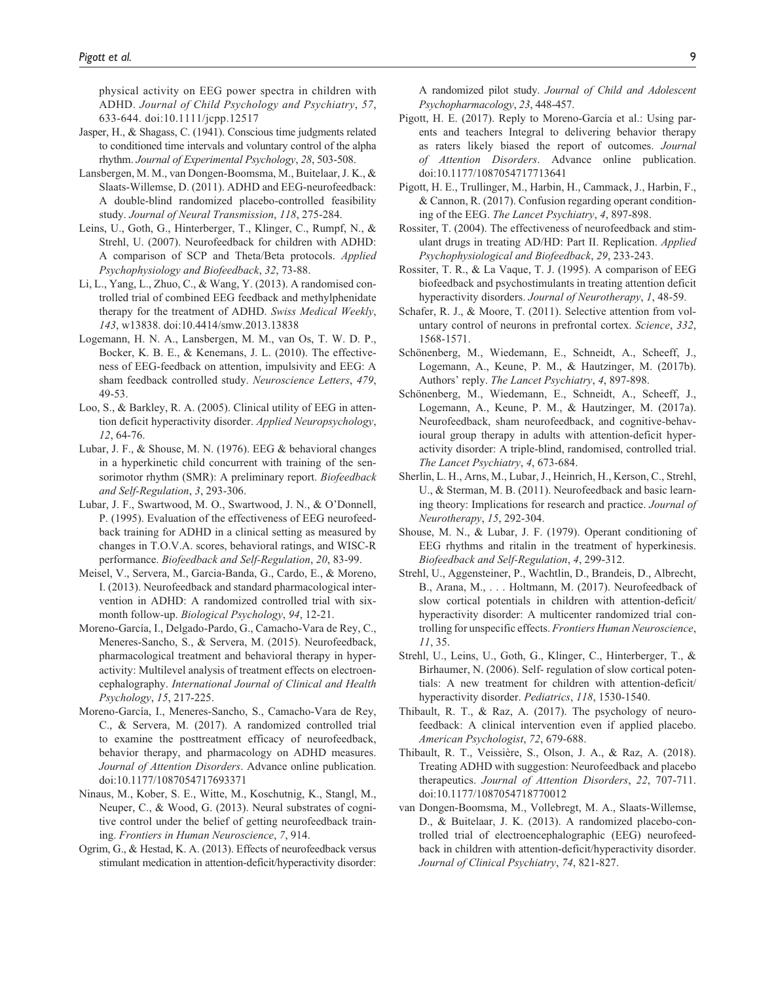physical activity on EEG power spectra in children with ADHD. *Journal of Child Psychology and Psychiatry*, *57*, 633-644. doi:10.1111/jcpp.12517

- Jasper, H., & Shagass, C. (1941). Conscious time judgments related to conditioned time intervals and voluntary control of the alpha rhythm. *Journal of Experimental Psychology*, *28*, 503-508.
- Lansbergen, M. M., van Dongen-Boomsma, M., Buitelaar, J. K., & Slaats-Willemse, D. (2011). ADHD and EEG-neurofeedback: A double-blind randomized placebo-controlled feasibility study. *Journal of Neural Transmission*, *118*, 275-284.
- Leins, U., Goth, G., Hinterberger, T., Klinger, C., Rumpf, N., & Strehl, U. (2007). Neurofeedback for children with ADHD: A comparison of SCP and Theta/Beta protocols. *Applied Psychophysiology and Biofeedback*, *32*, 73-88.
- Li, L., Yang, L., Zhuo, C., & Wang, Y. (2013). A randomised controlled trial of combined EEG feedback and methylphenidate therapy for the treatment of ADHD. *Swiss Medical Weekly*, *143*, w13838. doi:10.4414/smw.2013.13838
- Logemann, H. N. A., Lansbergen, M. M., van Os, T. W. D. P., Bocker, K. B. E., & Kenemans, J. L. (2010). The effectiveness of EEG-feedback on attention, impulsivity and EEG: A sham feedback controlled study. *Neuroscience Letters*, *479*, 49-53.
- Loo, S., & Barkley, R. A. (2005). Clinical utility of EEG in attention deficit hyperactivity disorder. *Applied Neuropsychology*, *12*, 64-76.
- Lubar, J. F., & Shouse, M. N. (1976). EEG & behavioral changes in a hyperkinetic child concurrent with training of the sensorimotor rhythm (SMR): A preliminary report. *Biofeedback and Self-Regulation*, *3*, 293-306.
- Lubar, J. F., Swartwood, M. O., Swartwood, J. N., & O'Donnell, P. (1995). Evaluation of the effectiveness of EEG neurofeedback training for ADHD in a clinical setting as measured by changes in T.O.V.A. scores, behavioral ratings, and WISC-R performance. *Biofeedback and Self-Regulation*, *20*, 83-99.
- Meisel, V., Servera, M., Garcia-Banda, G., Cardo, E., & Moreno, I. (2013). Neurofeedback and standard pharmacological intervention in ADHD: A randomized controlled trial with sixmonth follow-up. *Biological Psychology*, *94*, 12-21.
- Moreno-García, I., Delgado-Pardo, G., Camacho-Vara de Rey, C., Meneres-Sancho, S., & Servera, M. (2015). Neurofeedback, pharmacological treatment and behavioral therapy in hyperactivity: Multilevel analysis of treatment effects on electroencephalography. *International Journal of Clinical and Health Psychology*, *15*, 217-225.
- Moreno-García, I., Meneres-Sancho, S., Camacho-Vara de Rey, C., & Servera, M. (2017). A randomized controlled trial to examine the posttreatment efficacy of neurofeedback, behavior therapy, and pharmacology on ADHD measures. *Journal of Attention Disorders*. Advance online publication. doi:10.1177/1087054717693371
- Ninaus, M., Kober, S. E., Witte, M., Koschutnig, K., Stangl, M., Neuper, C., & Wood, G. (2013). Neural substrates of cognitive control under the belief of getting neurofeedback training. *Frontiers in Human Neuroscience*, *7*, 914.
- Ogrim, G., & Hestad, K. A. (2013). Effects of neurofeedback versus stimulant medication in attention-deficit/hyperactivity disorder:

A randomized pilot study. *Journal of Child and Adolescent Psychopharmacology*, *23*, 448-457.

- Pigott, H. E. (2017). Reply to Moreno-García et al.: Using parents and teachers Integral to delivering behavior therapy as raters likely biased the report of outcomes. *Journal of Attention Disorders*. Advance online publication. doi:10.1177/1087054717713641
- Pigott, H. E., Trullinger, M., Harbin, H., Cammack, J., Harbin, F., & Cannon, R. (2017). Confusion regarding operant conditioning of the EEG. *The Lancet Psychiatry*, *4*, 897-898.
- Rossiter, T. (2004). The effectiveness of neurofeedback and stimulant drugs in treating AD/HD: Part II. Replication. *Applied Psychophysiological and Biofeedback*, *29*, 233-243.
- Rossiter, T. R., & La Vaque, T. J. (1995). A comparison of EEG biofeedback and psychostimulants in treating attention deficit hyperactivity disorders. *Journal of Neurotherapy*, *1*, 48-59.
- Schafer, R. J., & Moore, T. (2011). Selective attention from voluntary control of neurons in prefrontal cortex. *Science*, *332*, 1568-1571.
- Schönenberg, M., Wiedemann, E., Schneidt, A., Scheeff, J., Logemann, A., Keune, P. M., & Hautzinger, M. (2017b). Authors' reply. *The Lancet Psychiatry*, *4*, 897-898.
- Schönenberg, M., Wiedemann, E., Schneidt, A., Scheeff, J., Logemann, A., Keune, P. M., & Hautzinger, M. (2017a). Neurofeedback, sham neurofeedback, and cognitive-behavioural group therapy in adults with attention-deficit hyperactivity disorder: A triple-blind, randomised, controlled trial. *The Lancet Psychiatry*, *4*, 673-684.
- Sherlin, L. H., Arns, M., Lubar, J., Heinrich, H., Kerson, C., Strehl, U., & Sterman, M. B. (2011). Neurofeedback and basic learning theory: Implications for research and practice. *Journal of Neurotherapy*, *15*, 292-304.
- Shouse, M. N., & Lubar, J. F. (1979). Operant conditioning of EEG rhythms and ritalin in the treatment of hyperkinesis. *Biofeedback and Self-Regulation*, *4*, 299-312.
- Strehl, U., Aggensteiner, P., Wachtlin, D., Brandeis, D., Albrecht, B., Arana, M., . . . Holtmann, M. (2017). Neurofeedback of slow cortical potentials in children with attention-deficit/ hyperactivity disorder: A multicenter randomized trial controlling for unspecific effects. *Frontiers Human Neuroscience*, *11*, 35.
- Strehl, U., Leins, U., Goth, G., Klinger, C., Hinterberger, T., & Birhaumer, N. (2006). Self- regulation of slow cortical potentials: A new treatment for children with attention-deficit/ hyperactivity disorder. *Pediatrics*, *118*, 1530-1540.
- Thibault, R. T., & Raz, A. (2017). The psychology of neurofeedback: A clinical intervention even if applied placebo. *American Psychologist*, *72*, 679-688.
- Thibault, R. T., Veissière, S., Olson, J. A., & Raz, A. (2018). Treating ADHD with suggestion: Neurofeedback and placebo therapeutics. *Journal of Attention Disorders*, *22*, 707-711. doi:10.1177/1087054718770012
- van Dongen-Boomsma, M., Vollebregt, M. A., Slaats-Willemse, D., & Buitelaar, J. K. (2013). A randomized placebo-controlled trial of electroencephalographic (EEG) neurofeedback in children with attention-deficit/hyperactivity disorder. *Journal of Clinical Psychiatry*, *74*, 821-827.